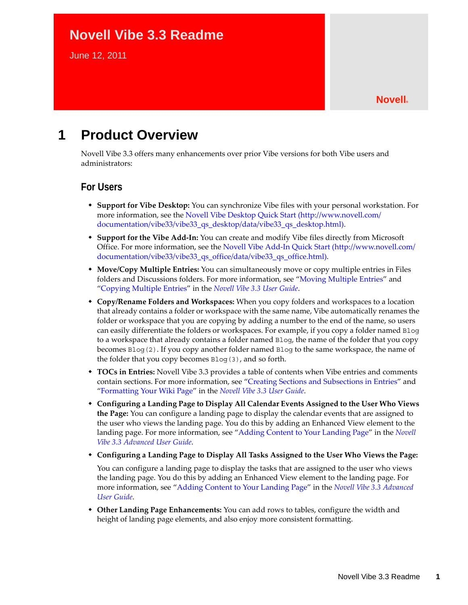# **Novell Vibe 3.3 Readme**

June 12, 2011

# **1 Product Overview**

Novell Vibe 3.3 offers many enhancements over prior Vibe versions for both Vibe users and administrators:

#### **For Users**

- **Support for Vibe Desktop:** You can synchronize Vibe files with your personal workstation. For more information, see the [Novell Vibe Desktop Quick Start](http://www.novell.com/documentation/vibe33/vibe33_qs_desktop/data/vibe33_qs_desktop.html) (http://www.novell.com/ documentation/vibe33/vibe33\_qs\_desktop/data/vibe33\_qs\_desktop.html).
- **Support for the Vibe Add-In:** You can create and modify Vibe files directly from Microsoft Office. For more information, see the [Novell Vibe Add-In Quick Start](http://www.novell.com/documentation/vibe33/vibe33_qs_office/data/vibe33_qs_office.html) (http://www.novell.com/ documentation/vibe33/vibe33\_qs\_office/data/vibe33\_qs\_office.html).
- **Move/Copy Multiple Entries:** You can simultaneously move or copy multiple entries in Files folders and Discussions folders. For more information, see "Moving Multiple Entries" and "Copying Multiple Entries" in the *Novell Vibe 3.3 User Guide*.
- **Copy/Rename Folders and Workspaces:** When you copy folders and workspaces to a location that already contains a folder or workspace with the same name, Vibe automatically renames the folder or workspace that you are copying by adding a number to the end of the name, so users can easily differentiate the folders or workspaces. For example, if you copy a folder named Blog to a workspace that already contains a folder named Blog, the name of the folder that you copy becomes Blog(2). If you copy another folder named Blog to the same workspace, the name of the folder that you copy becomes Blog(3), and so forth.
- **TOCs in Entries:** Novell Vibe 3.3 provides a table of contents when Vibe entries and comments contain sections. For more information, see "Creating Sections and Subsections in Entries" and "Formatting Your Wiki Page" in the *Novell Vibe 3.3 User Guide*.
- **Configuring a Landing Page to Display All Calendar Events Assigned to the User Who Views the Page:** You can configure a landing page to display the calendar events that are assigned to the user who views the landing page. You do this by adding an Enhanced View element to the landing page. For more information, see "Adding Content to Your Landing Page" in the *Novell Vibe 3.3 Advanced User Guide*.
- **Configuring a Landing Page to Display All Tasks Assigned to the User Who Views the Page:**

You can configure a landing page to display the tasks that are assigned to the user who views the landing page. You do this by adding an Enhanced View element to the landing page. For more information, see "Adding Content to Your Landing Page" in the *Novell Vibe 3.3 Advanced User Guide*.

 **Other Landing Page Enhancements:** You can add rows to tables, configure the width and height of landing page elements, and also enjoy more consistent formatting.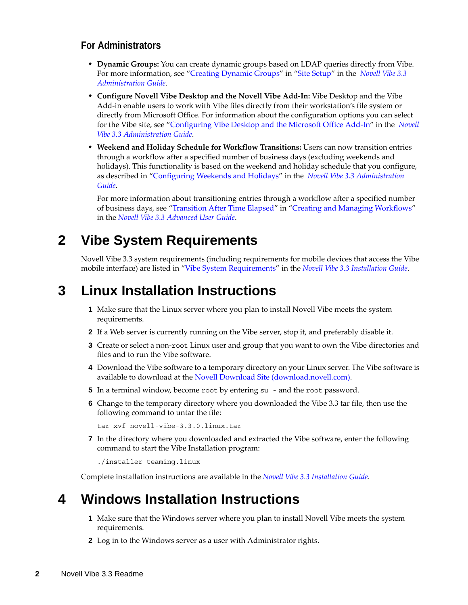#### **For Administrators**

- **Dynamic Groups:** You can create dynamic groups based on LDAP queries directly from Vibe. For more information, see "Creating Dynamic Groups" in "Site Setup" in the *Novell Vibe 3.3 Administration Guide*.
- **Configure Novell Vibe Desktop and the Novell Vibe Add-In:** Vibe Desktop and the Vibe Add-in enable users to work with Vibe files directly from their workstation's file system or directly from Microsoft Office. For information about the configuration options you can select for the Vibe site, see "Configuring Vibe Desktop and the Microsoft Office Add-In" in the *Novell Vibe 3.3 Administration Guide*.
- **Weekend and Holiday Schedule for Workflow Transitions:** Users can now transition entries through a workflow after a specified number of business days (excluding weekends and holidays). This functionality is based on the weekend and holiday schedule that you configure, as described in "Configuring Weekends and Holidays" in the *Novell Vibe 3.3 Administration Guide*.

For more information about transitioning entries through a workflow after a specified number of business days, see "Transition After Time Elapsed" in "Creating and Managing Workflows" in the *Novell Vibe 3.3 Advanced User Guide*.

# **2 Vibe System Requirements**

Novell Vibe 3.3 system requirements (including requirements for mobile devices that access the Vibe mobile interface) are listed in "Vibe System Requirements" in the *Novell Vibe 3.3 Installation Guide*.

## **3 Linux Installation Instructions**

- **1** Make sure that the Linux server where you plan to install Novell Vibe meets the system requirements.
- **2** If a Web server is currently running on the Vibe server, stop it, and preferably disable it.
- **3** Create or select a non-root Linux user and group that you want to own the Vibe directories and files and to run the Vibe software.
- **4** Download the Vibe software to a temporary directory on your Linux server. The Vibe software is available to download at the [Novell Download Site](download.novell.com) (download.novell.com).
- **5** In a terminal window, become root by entering su and the root password.
- **6** Change to the temporary directory where you downloaded the Vibe 3.3 tar file, then use the following command to untar the file:

tar xvf novell-vibe-3.3.0.linux.tar

**7** In the directory where you downloaded and extracted the Vibe software, enter the following command to start the Vibe Installation program:

./installer-teaming.linux

Complete installation instructions are available in the *Novell Vibe 3.3 Installation Guide*.

## **4 Windows Installation Instructions**

- **1** Make sure that the Windows server where you plan to install Novell Vibe meets the system requirements.
- **2** Log in to the Windows server as a user with Administrator rights.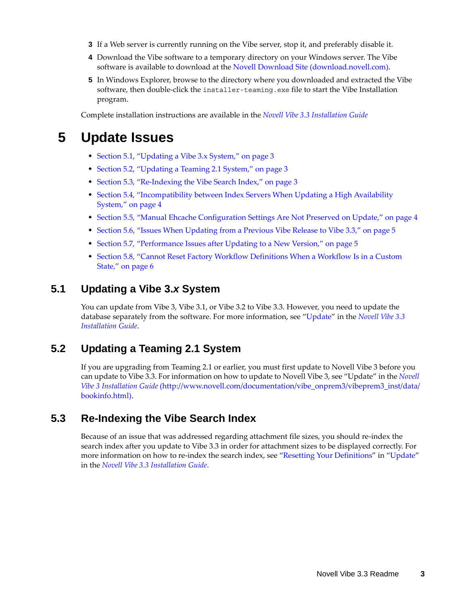- **3** If a Web server is currently running on the Vibe server, stop it, and preferably disable it.
- **4** Download the Vibe software to a temporary directory on your Windows server. The Vibe software is available to download at the [Novell Download Site](download.novell.com) (download.novell.com).
- **5** In Windows Explorer, browse to the directory where you downloaded and extracted the Vibe software, then double-click the installer-teaming.exe file to start the Vibe Installation program.

Complete installation instructions are available in the *Novell Vibe 3.3 Installation Guide*

## **5 Update Issues**

- [Section 5.1, "Updating a Vibe 3.x System," on page 3](#page-2-2)
- [Section 5.2, "Updating a Teaming 2.1 System," on page 3](#page-2-0)
- [Section 5.3, "Re-Indexing the Vibe Search Index," on page 3](#page-2-1)
- [Section 5.4, "Incompatibility between Index Servers When Updating a High Availability](#page-3-1)  [System," on page 4](#page-3-1)
- [Section 5.5, "Manual Ehcache Configuration Settings Are Not Preserved on Update," on page 4](#page-3-0)
- [Section 5.6, "Issues When Updating from a Previous Vibe Release to Vibe 3.3," on page 5](#page-4-0)
- [Section 5.7, "Performance Issues after Updating to a New Version," on page 5](#page-4-1)
- [Section 5.8, "Cannot Reset Factory Workflow Definitions When a Workflow Is in a Custom](#page-5-0)  [State," on page 6](#page-5-0)

#### <span id="page-2-2"></span>**5.1 Updating a Vibe 3.***x* **System**

You can update from Vibe 3, Vibe 3.1, or Vibe 3.2 to Vibe 3.3. However, you need to update the database separately from the software. For more information, see "Update" in the *Novell Vibe 3.3 Installation Guide*.

#### <span id="page-2-0"></span>**5.2 Updating a Teaming 2.1 System**

If you are upgrading from Teaming 2.1 or earlier, you must first update to Novell Vibe 3 before you can update to Vibe 3.3. For information on how to update to Novell Vibe 3, see "Update" in the *[Novell](http://www.novell.com/documentation/vibe_onprem3/vibeprem3_inst/data/bookinfo.html)  [Vibe 3 Installation Guide](http://www.novell.com/documentation/vibe_onprem3/vibeprem3_inst/data/bookinfo.html)* (http://www.novell.com/documentation/vibe\_onprem3/vibeprem3\_inst/data/ bookinfo.html).

#### <span id="page-2-1"></span>**5.3 Re-Indexing the Vibe Search Index**

Because of an issue that was addressed regarding attachment file sizes, you should re-index the search index after you update to Vibe 3.3 in order for attachment sizes to be displayed correctly. For more information on how to re-index the search index, see "Resetting Your Definitions" in "Update" in the *Novell Vibe 3.3 Installation Guide*.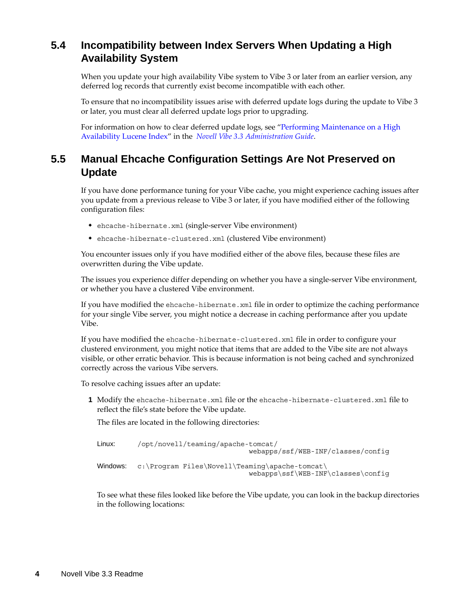## <span id="page-3-1"></span>**5.4 Incompatibility between Index Servers When Updating a High Availability System**

When you update your high availability Vibe system to Vibe 3 or later from an earlier version, any deferred log records that currently exist become incompatible with each other.

To ensure that no incompatibility issues arise with deferred update logs during the update to Vibe 3 or later, you must clear all deferred update logs prior to upgrading.

For information on how to clear deferred update logs, see "Performing Maintenance on a High Availability Lucene Index" in the *Novell Vibe 3.3 Administration Guide*.

## <span id="page-3-0"></span>**5.5 Manual Ehcache Configuration Settings Are Not Preserved on Update**

If you have done performance tuning for your Vibe cache, you might experience caching issues after you update from a previous release to Vibe 3 or later, if you have modified either of the following configuration files:

- ehcache-hibernate.xml (single-server Vibe environment)
- ehcache-hibernate-clustered.xml (clustered Vibe environment)

You encounter issues only if you have modified either of the above files, because these files are overwritten during the Vibe update.

The issues you experience differ depending on whether you have a single-server Vibe environment, or whether you have a clustered Vibe environment.

If you have modified the ehcache-hibernate.xml file in order to optimize the caching performance for your single Vibe server, you might notice a decrease in caching performance after you update Vibe.

If you have modified the ehcache-hibernate-clustered.xml file in order to configure your clustered environment, you might notice that items that are added to the Vibe site are not always visible, or other erratic behavior. This is because information is not being cached and synchronized correctly across the various Vibe servers.

To resolve caching issues after an update:

**1** Modify the ehcache-hibernate.xml file or the ehcache-hibernate-clustered.xml file to reflect the file's state before the Vibe update.

The files are located in the following directories:

```
Linux: /opt/novell/teaming/apache-tomcat/
                                    webapps/ssf/WEB-INF/classes/config
Windows: c:\Program Files\Novell\Teaming\apache-tomcat\
                                    webapps\ssf\WEB-INF\classes\config
```
To see what these files looked like before the Vibe update, you can look in the backup directories in the following locations: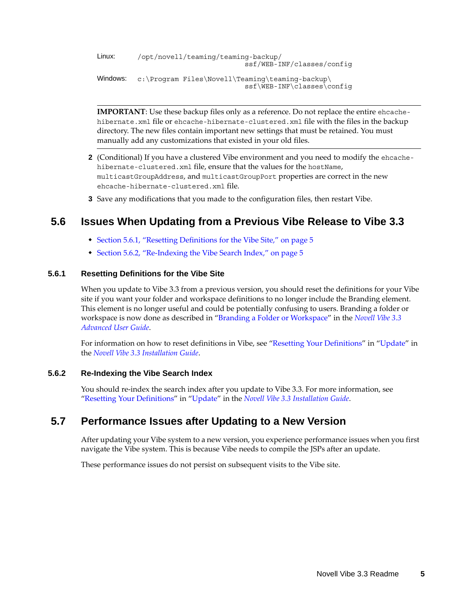```
Linux: /opt/novell/teaming/teaming-backup/
                                   ssf/WEB-INF/classes/config
Windows: c:\Program Files\Novell\Teaming\teaming-backup\
                                   ssf\WEB-INF\classes\config
```
**IMPORTANT**: Use these backup files only as a reference. Do not replace the entire ehcachehibernate.xml file or ehcache-hibernate-clustered.xml file with the files in the backup directory. The new files contain important new settings that must be retained. You must manually add any customizations that existed in your old files.

- **2** (Conditional) If you have a clustered Vibe environment and you need to modify the ehcachehibernate-clustered.xml file, ensure that the values for the hostName, multicastGroupAddress, and multicastGroupPort properties are correct in the new ehcache-hibernate-clustered.xml file.
- **3** Save any modifications that you made to the configuration files, then restart Vibe.

### <span id="page-4-0"></span>**5.6 Issues When Updating from a Previous Vibe Release to Vibe 3.3**

- [Section 5.6.1, "Resetting Definitions for the Vibe Site," on page 5](#page-4-2)
- [Section 5.6.2, "Re-Indexing the Vibe Search Index," on page 5](#page-4-3)

#### <span id="page-4-2"></span>**5.6.1 Resetting Definitions for the Vibe Site**

When you update to Vibe 3.3 from a previous version, you should reset the definitions for your Vibe site if you want your folder and workspace definitions to no longer include the Branding element. This element is no longer useful and could be potentially confusing to users. Branding a folder or workspace is now done as described in "Branding a Folder or Workspace" in the *Novell Vibe 3.3 Advanced User Guide*.

For information on how to reset definitions in Vibe, see "Resetting Your Definitions" in "Update" in the *Novell Vibe 3.3 Installation Guide*.

#### <span id="page-4-3"></span>**5.6.2 Re-Indexing the Vibe Search Index**

You should re-index the search index after you update to Vibe 3.3. For more information, see "Resetting Your Definitions" in "Update" in the *Novell Vibe 3.3 Installation Guide*.

#### <span id="page-4-1"></span>**5.7 Performance Issues after Updating to a New Version**

After updating your Vibe system to a new version, you experience performance issues when you first navigate the Vibe system. This is because Vibe needs to compile the JSPs after an update.

These performance issues do not persist on subsequent visits to the Vibe site.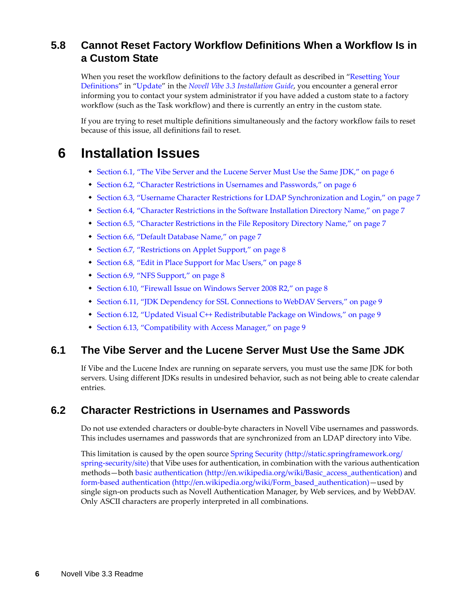## <span id="page-5-0"></span>**5.8 Cannot Reset Factory Workflow Definitions When a Workflow Is in a Custom State**

When you reset the workflow definitions to the factory default as described in "Resetting Your Definitions" in "Update" in the *Novell Vibe 3.3 Installation Guide*, you encounter a general error informing you to contact your system administrator if you have added a custom state to a factory workflow (such as the Task workflow) and there is currently an entry in the custom state.

If you are trying to reset multiple definitions simultaneously and the factory workflow fails to reset because of this issue, all definitions fail to reset.

## **6 Installation Issues**

- [Section 6.1, "The Vibe Server and the Lucene Server Must Use the Same JDK," on page 6](#page-5-1)
- [Section 6.2, "Character Restrictions in Usernames and Passwords," on page 6](#page-5-2)
- [Section 6.3, "Username Character Restrictions for LDAP Synchronization and Login," on page 7](#page-6-0)
- [Section 6.4, "Character Restrictions in the Software Installation Directory Name," on page 7](#page-6-2)
- [Section 6.5, "Character Restrictions in the File Repository Directory Name," on page 7](#page-6-3)
- [Section 6.6, "Default Database Name," on page 7](#page-6-1)
- [Section 6.7, "Restrictions on Applet Support," on page 8](#page-7-3)
- [Section 6.8, "Edit in Place Support for Mac Users," on page 8](#page-7-0)
- [Section 6.9, "NFS Support," on page 8](#page-7-1)
- [Section 6.10, "Firewall Issue on Windows Server 2008 R2," on page 8](#page-7-2)
- [Section 6.11, "JDK Dependency for SSL Connections to WebDAV Servers," on page 9](#page-8-0)
- \* [Section 6.12, "Updated Visual C++ Redistributable Package on Windows," on page 9](#page-8-1)
- [Section 6.13, "Compatibility with Access Manager," on page 9](#page-8-2)

#### <span id="page-5-1"></span>**6.1 The Vibe Server and the Lucene Server Must Use the Same JDK**

If Vibe and the Lucene Index are running on separate servers, you must use the same JDK for both servers. Using different JDKs results in undesired behavior, such as not being able to create calendar entries.

#### <span id="page-5-2"></span>**6.2 Character Restrictions in Usernames and Passwords**

Do not use extended characters or double-byte characters in Novell Vibe usernames and passwords. This includes usernames and passwords that are synchronized from an LDAP directory into Vibe.

This limitation is caused by the open source [Spring Security](http://static.springframework.org/spring-security/site) (http://static.springframework.org/ spring-security/site) that Vibe uses for authentication, in combination with the various authentication methods—both [basic authentication](http://en.wikipedia.org/wiki/Basic_access_authentication) (http://en.wikipedia.org/wiki/Basic\_access\_authentication) and [form-based authentication](http://en.wikipedia.org/wiki/Form_based_authentication) (http://en.wikipedia.org/wiki/Form\_based\_authentication)—used by single sign-on products such as Novell Authentication Manager, by Web services, and by WebDAV. Only ASCII characters are properly interpreted in all combinations.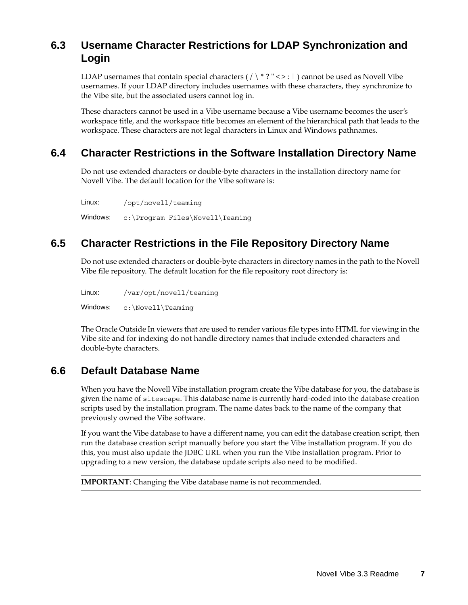## <span id="page-6-0"></span>**6.3 Username Character Restrictions for LDAP Synchronization and Login**

LDAP usernames that contain special characters  $( / \n\backslash^* ? \n\backslash^* > : | )$  cannot be used as Novell Vibe usernames. If your LDAP directory includes usernames with these characters, they synchronize to the Vibe site, but the associated users cannot log in.

These characters cannot be used in a Vibe username because a Vibe username becomes the user's workspace title, and the workspace title becomes an element of the hierarchical path that leads to the workspace. These characters are not legal characters in Linux and Windows pathnames.

## <span id="page-6-2"></span>**6.4 Character Restrictions in the Software Installation Directory Name**

Do not use extended characters or double-byte characters in the installation directory name for Novell Vibe. The default location for the Vibe software is:

```
Linux: /opt/novell/teaming
Windows: c:\Program Files\Novell\Teaming
```
## <span id="page-6-3"></span>**6.5 Character Restrictions in the File Repository Directory Name**

Do not use extended characters or double-byte characters in directory names in the path to the Novell Vibe file repository. The default location for the file repository root directory is:

Linux: /var/opt/novell/teaming Windows: c:\Novell\Teaming

The Oracle Outside In viewers that are used to render various file types into HTML for viewing in the Vibe site and for indexing do not handle directory names that include extended characters and double-byte characters.

### <span id="page-6-1"></span>**6.6 Default Database Name**

When you have the Novell Vibe installation program create the Vibe database for you, the database is given the name of sitescape. This database name is currently hard-coded into the database creation scripts used by the installation program. The name dates back to the name of the company that previously owned the Vibe software.

If you want the Vibe database to have a different name, you can edit the database creation script, then run the database creation script manually before you start the Vibe installation program. If you do this, you must also update the JDBC URL when you run the Vibe installation program. Prior to upgrading to a new version, the database update scripts also need to be modified.

**IMPORTANT**: Changing the Vibe database name is not recommended.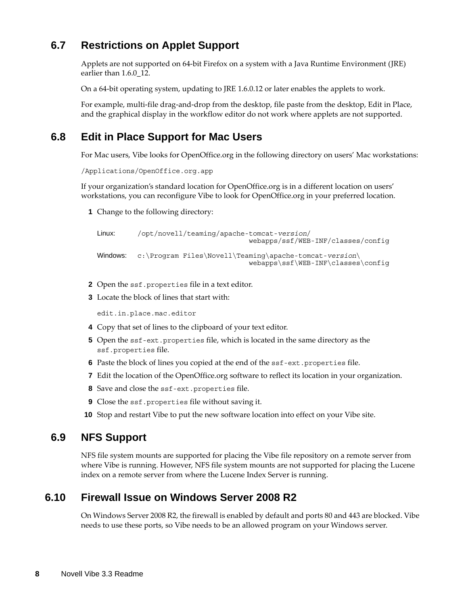## <span id="page-7-3"></span>**6.7 Restrictions on Applet Support**

Applets are not supported on 64-bit Firefox on a system with a Java Runtime Environment (JRE) earlier than 1.6.0\_12.

On a 64-bit operating system, updating to JRE 1.6.0.12 or later enables the applets to work.

For example, multi-file drag-and-drop from the desktop, file paste from the desktop, Edit in Place, and the graphical display in the workflow editor do not work where applets are not supported.

### <span id="page-7-0"></span>**6.8 Edit in Place Support for Mac Users**

For Mac users, Vibe looks for OpenOffice.org in the following directory on users' Mac workstations:

```
/Applications/OpenOffice.org.app
```
If your organization's standard location for OpenOffice.org is in a different location on users' workstations, you can reconfigure Vibe to look for OpenOffice.org in your preferred location.

**1** Change to the following directory:

```
Linux: /opt/novell/teaming/apache-tomcat-version/
                                    webapps/ssf/WEB-INF/classes/config
Windows: c:\Program Files\Novell\Teaming\apache-tomcat-version\
                                    webapps\ssf\WEB-INF\classes\config
```
- **2** Open the ssf.properties file in a text editor.
- **3** Locate the block of lines that start with:

edit.in.place.mac.editor

- **4** Copy that set of lines to the clipboard of your text editor.
- **5** Open the ssf-ext.properties file, which is located in the same directory as the ssf.properties file.
- **6** Paste the block of lines you copied at the end of the ssf-ext.properties file.
- **7** Edit the location of the OpenOffice.org software to reflect its location in your organization.
- **8** Save and close the ssf-ext.properties file.
- **9** Close the ssf.properties file without saving it.
- **10** Stop and restart Vibe to put the new software location into effect on your Vibe site.

#### <span id="page-7-1"></span>**6.9 NFS Support**

NFS file system mounts are supported for placing the Vibe file repository on a remote server from where Vibe is running. However, NFS file system mounts are not supported for placing the Lucene index on a remote server from where the Lucene Index Server is running.

#### <span id="page-7-2"></span>**6.10 Firewall Issue on Windows Server 2008 R2**

On Windows Server 2008 R2, the firewall is enabled by default and ports 80 and 443 are blocked. Vibe needs to use these ports, so Vibe needs to be an allowed program on your Windows server.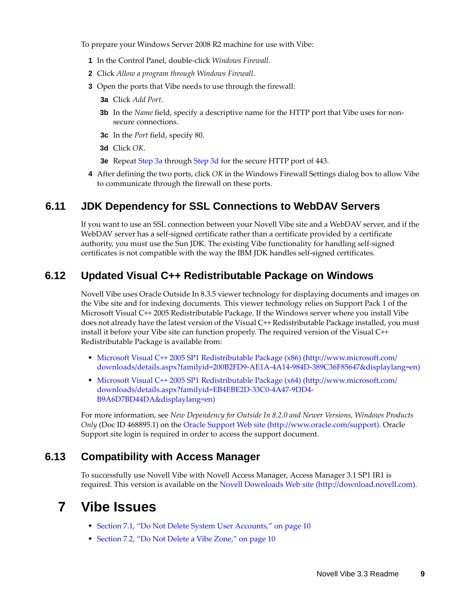To prepare your Windows Server 2008 R2 machine for use with Vibe:

- **1** In the Control Panel, double-click *Windows Firewall*.
- **2** Click *Allow a program through Windows Firewall*.
- <span id="page-8-3"></span>**3** Open the ports that Vibe needs to use through the firewall:
	- **3a** Click *Add Port*.
	- **3b** In the *Name* field, specify a descriptive name for the HTTP port that Vibe uses for nonsecure connections.
	- **3c** In the *Port* field, specify 80.
	- **3d** Click *OK*.
	- **3e** Repeat [Step 3a](#page-8-3) through [Step 3d](#page-8-4) for the secure HTTP port of 443.
- <span id="page-8-4"></span>**4** After defining the two ports, click *OK* in the Windows Firewall Settings dialog box to allow Vibe to communicate through the firewall on these ports.

#### <span id="page-8-0"></span>**6.11 JDK Dependency for SSL Connections to WebDAV Servers**

If you want to use an SSL connection between your Novell Vibe site and a WebDAV server, and if the WebDAV server has a self-signed certificate rather than a certificate provided by a certificate authority, you must use the Sun JDK. The existing Vibe functionality for handling self-signed certificates is not compatible with the way the IBM JDK handles self-signed certificates.

### <span id="page-8-1"></span>**6.12 Updated Visual C++ Redistributable Package on Windows**

Novell Vibe uses Oracle Outside In 8.3.5 viewer technology for displaying documents and images on the Vibe site and for indexing documents. This viewer technology relies on Support Pack 1 of the Microsoft Visual C++ 2005 Redistributable Package. If the Windows server where you install Vibe does not already have the latest version of the Visual C++ Redistributable Package installed, you must install it before your Vibe site can function properly. The required version of the Visual C++ Redistributable Package is available from:

- [Microsoft Visual C++ 2005 SP1 Redistributable Package \(x86\)](http://www.microsoft.com/downloads/details.aspx?familyid=200B2FD9-AE1A-4A14-984D-389C36F85647&displaylang=en) (http://www.microsoft.com/ downloads/details.aspx?familyid=200B2FD9-AE1A-4A14-984D-389C36F85647&displaylang=en)
- [Microsoft Visual C++ 2005 SP1 Redistributable Package \(x64\)](http://www.microsoft.com/downloads/details.aspx?familyid=EB4EBE2D-33C0-4A47-9DD4-B9A6D7BD44DA&displaylang=en) (http://www.microsoft.com/ downloads/details.aspx?familyid=EB4EBE2D-33C0-4A47-9DD4- B9A6D7BD44DA&displaylang=en)

For more information, see *New Dependency for Outside In 8.2.0 and Newer Versions, Windows Products Only* (Doc ID 468895.1) on the [Oracle Support Web site](http://www.oracle.com/support) (http://www.oracle.com/support). Oracle Support site login is required in order to access the support document.

#### <span id="page-8-2"></span>**6.13 Compatibility with Access Manager**

To successfully use Novell Vibe with Novell Access Manager, Access Manager 3.1 SP1 IR1 is required. This version is available on the [Novell Downloads Web site](http://download.novell.com) (http://download.novell.com).

## **7 Vibe Issues**

- [Section 7.1, "Do Not Delete System User Accounts," on page 10](#page-9-0)
- [Section 7.2, "Do Not Delete a Vibe Zone," on page 10](#page-9-1)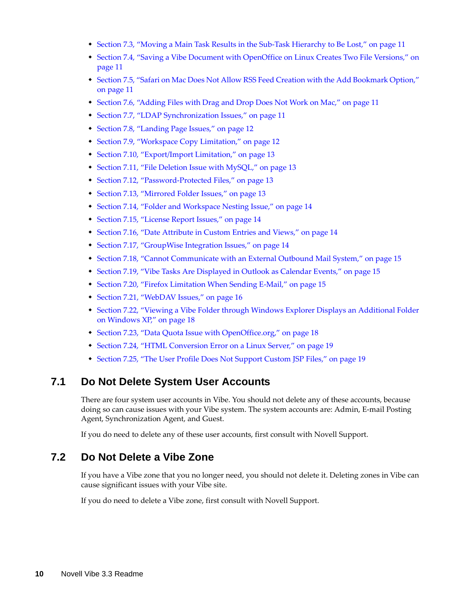- [Section 7.3, "Moving a Main Task Results in the Sub-Task Hierarchy to Be Lost," on page 11](#page-10-0)
- [Section 7.4, "Saving a Vibe Document with OpenOffice on Linux Creates Two File Versions," on](#page-10-1)  [page 11](#page-10-1)
- [Section 7.5, "Safari on Mac Does Not Allow RSS Feed Creation with the Add Bookmark Option,"](#page-10-2)  [on page 11](#page-10-2)
- [Section 7.6, "Adding Files with Drag and Drop Does Not Work on Mac," on page 11](#page-10-3)
- [Section 7.7, "LDAP Synchronization Issues," on page 11](#page-10-4)
- [Section 7.8, "Landing Page Issues," on page 12](#page-11-0)
- [Section 7.9, "Workspace Copy Limitation," on page 12](#page-11-1)
- [Section 7.10, "Export/Import Limitation," on page 13](#page-12-0)
- [Section 7.11, "File Deletion Issue with MySQL," on page 13](#page-12-1)
- [Section 7.12, "Password-Protected Files," on page 13](#page-12-2)
- [Section 7.13, "Mirrored Folder Issues," on page 13](#page-12-3)
- [Section 7.14, "Folder and Workspace Nesting Issue," on page 14](#page-13-0)
- [Section 7.15, "License Report Issues," on page 14](#page-13-2)
- [Section 7.16, "Date Attribute in Custom Entries and Views," on page 14](#page-13-1)
- [Section 7.17, "GroupWise Integration Issues," on page 14](#page-13-3)
- [Section 7.18, "Cannot Communicate with an External Outbound Mail System," on page 15](#page-14-0)
- [Section 7.19, "Vibe Tasks Are Displayed in Outlook as Calendar Events," on page 15](#page-14-1)
- [Section 7.20, "Firefox Limitation When Sending E-Mail," on page 15](#page-14-2)
- [Section 7.21, "WebDAV Issues," on page 16](#page-15-0)
- [Section 7.22, "Viewing a Vibe Folder through Windows Explorer Displays an Additional Folder](#page-17-0)  [on Windows XP," on page 18](#page-17-0)
- [Section 7.23, "Data Quota Issue with OpenOffice.org," on page 18](#page-17-1)
- [Section 7.24, "HTML Conversion Error on a Linux Server," on page 19](#page-18-0)
- [Section 7.25, "The User Profile Does Not Support Custom JSP Files," on page 19](#page-18-1)

#### <span id="page-9-0"></span>**7.1 Do Not Delete System User Accounts**

There are four system user accounts in Vibe. You should not delete any of these accounts, because doing so can cause issues with your Vibe system. The system accounts are: Admin, E-mail Posting Agent, Synchronization Agent, and Guest.

If you do need to delete any of these user accounts, first consult with Novell Support.

#### <span id="page-9-1"></span>**7.2 Do Not Delete a Vibe Zone**

If you have a Vibe zone that you no longer need, you should not delete it. Deleting zones in Vibe can cause significant issues with your Vibe site.

If you do need to delete a Vibe zone, first consult with Novell Support.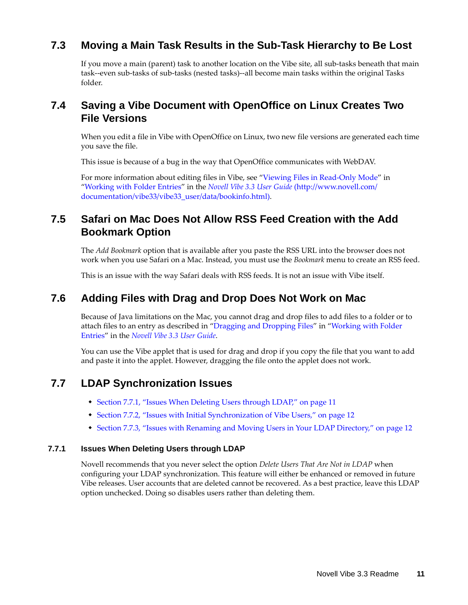### <span id="page-10-0"></span>**7.3 Moving a Main Task Results in the Sub-Task Hierarchy to Be Lost**

If you move a main (parent) task to another location on the Vibe site, all sub-tasks beneath that main task--even sub-tasks of sub-tasks (nested tasks)--all become main tasks within the original Tasks folder.

## <span id="page-10-1"></span>**7.4 Saving a Vibe Document with OpenOffice on Linux Creates Two File Versions**

When you edit a file in Vibe with OpenOffice on Linux, two new file versions are generated each time you save the file.

This issue is because of a bug in the way that OpenOffice communicates with WebDAV.

For more information about editing files in Vibe, see "Viewing Files in Read-Only Mode" in "Working with Folder Entries" in the *[Novell Vibe 3.3 User Guide](http://www.novell.com/documentation/vibe33/vibe33_user/data/bookinfo.html)* (http://www.novell.com/ documentation/vibe33/vibe33\_user/data/bookinfo.html).

### <span id="page-10-2"></span>**7.5 Safari on Mac Does Not Allow RSS Feed Creation with the Add Bookmark Option**

The *Add Bookmark* option that is available after you paste the RSS URL into the browser does not work when you use Safari on a Mac. Instead, you must use the *Bookmark* menu to create an RSS feed.

This is an issue with the way Safari deals with RSS feeds. It is not an issue with Vibe itself.

#### <span id="page-10-3"></span>**7.6 Adding Files with Drag and Drop Does Not Work on Mac**

Because of Java limitations on the Mac, you cannot drag and drop files to add files to a folder or to attach files to an entry as described in "Dragging and Dropping Files" in "Working with Folder Entries" in the *Novell Vibe 3.3 User Guide*.

You can use the Vibe applet that is used for drag and drop if you copy the file that you want to add and paste it into the applet. However, dragging the file onto the applet does not work.

#### <span id="page-10-4"></span>**7.7 LDAP Synchronization Issues**

- [Section 7.7.1, "Issues When Deleting Users through LDAP," on page 11](#page-10-5)
- [Section 7.7.2, "Issues with Initial Synchronization of Vibe Users," on page 12](#page-11-2)
- [Section 7.7.3, "Issues with Renaming and Moving Users in Your LDAP Directory," on page 12](#page-11-3)

#### <span id="page-10-5"></span>**7.7.1 Issues When Deleting Users through LDAP**

Novell recommends that you never select the option *Delete Users That Are Not in LDAP* when configuring your LDAP synchronization. This feature will either be enhanced or removed in future Vibe releases. User accounts that are deleted cannot be recovered. As a best practice, leave this LDAP option unchecked. Doing so disables users rather than deleting them.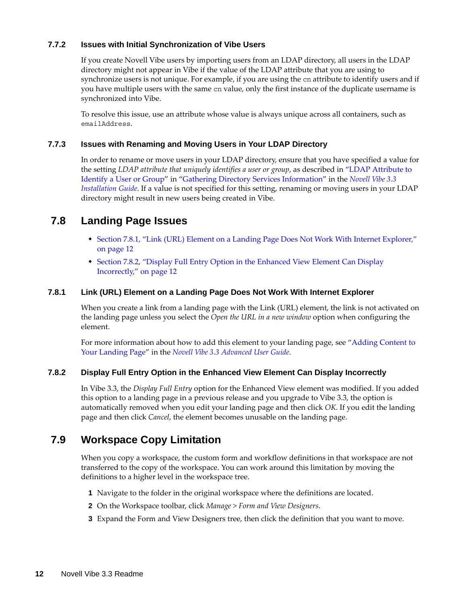#### <span id="page-11-2"></span>**7.7.2 Issues with Initial Synchronization of Vibe Users**

If you create Novell Vibe users by importing users from an LDAP directory, all users in the LDAP directory might not appear in Vibe if the value of the LDAP attribute that you are using to synchronize users is not unique. For example, if you are using the cn attribute to identify users and if you have multiple users with the same cn value, only the first instance of the duplicate username is synchronized into Vibe.

To resolve this issue, use an attribute whose value is always unique across all containers, such as emailAddress.

#### <span id="page-11-3"></span>**7.7.3 Issues with Renaming and Moving Users in Your LDAP Directory**

In order to rename or move users in your LDAP directory, ensure that you have specified a value for the setting *LDAP attribute that uniquely identifies a user or group*, as described in "LDAP Attribute to Identify a User or Group" in "Gathering Directory Services Information" in the *Novell Vibe 3.3 Installation Guide*. If a value is not specified for this setting, renaming or moving users in your LDAP directory might result in new users being created in Vibe.

#### <span id="page-11-0"></span>**7.8 Landing Page Issues**

- [Section 7.8.1, "Link \(URL\) Element on a Landing Page Does Not Work With Internet Explorer,"](#page-11-4)  [on page 12](#page-11-4)
- [Section 7.8.2, "Display Full Entry Option in the Enhanced View Element Can Display](#page-11-5)  [Incorrectly," on page 12](#page-11-5)

#### <span id="page-11-4"></span>**7.8.1 Link (URL) Element on a Landing Page Does Not Work With Internet Explorer**

When you create a link from a landing page with the Link (URL) element, the link is not activated on the landing page unless you select the *Open the URL in a new window* option when configuring the element.

For more information about how to add this element to your landing page, see "Adding Content to Your Landing Page" in the *Novell Vibe 3.3 Advanced User Guide*.

#### <span id="page-11-5"></span>**7.8.2 Display Full Entry Option in the Enhanced View Element Can Display Incorrectly**

In Vibe 3.3, the *Display Full Entry* option for the Enhanced View element was modified. If you added this option to a landing page in a previous release and you upgrade to Vibe 3.3, the option is automatically removed when you edit your landing page and then click *OK*. If you edit the landing page and then click *Cancel*, the element becomes unusable on the landing page.

#### <span id="page-11-1"></span>**7.9 Workspace Copy Limitation**

When you copy a workspace, the custom form and workflow definitions in that workspace are not transferred to the copy of the workspace. You can work around this limitation by moving the definitions to a higher level in the workspace tree.

- **1** Navigate to the folder in the original workspace where the definitions are located.
- **2** On the Workspace toolbar, click *Manage > Form and View Designers*.
- **3** Expand the Form and View Designers tree, then click the definition that you want to move.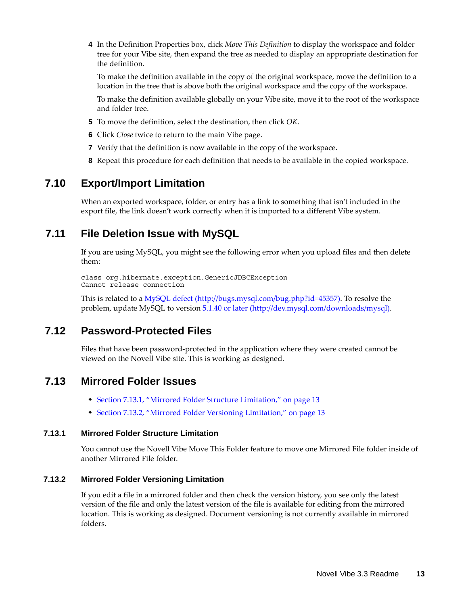**4** In the Definition Properties box, click *Move This Definition* to display the workspace and folder tree for your Vibe site, then expand the tree as needed to display an appropriate destination for the definition.

To make the definition available in the copy of the original workspace, move the definition to a location in the tree that is above both the original workspace and the copy of the workspace.

To make the definition available globally on your Vibe site, move it to the root of the workspace and folder tree.

- **5** To move the definition, select the destination, then click *OK*.
- **6** Click *Close* twice to return to the main Vibe page.
- **7** Verify that the definition is now available in the copy of the workspace.
- **8** Repeat this procedure for each definition that needs to be available in the copied workspace.

#### <span id="page-12-0"></span>**7.10 Export/Import Limitation**

When an exported workspace, folder, or entry has a link to something that isn't included in the export file, the link doesn't work correctly when it is imported to a different Vibe system.

#### <span id="page-12-1"></span>**7.11 File Deletion Issue with MySQL**

If you are using MySQL, you might see the following error when you upload files and then delete them:

```
class org.hibernate.exception.GenericJDBCException
Cannot release connection
```
This is related to a [MySQL defect](http://bugs.mysql.com/bug.php?id=45357) (http://bugs.mysql.com/bug.php?id=45357). To resolve the problem, update MySQL to version [5.1.40 or later](http://dev.mysql.com/downloads/mysql) (http://dev.mysql.com/downloads/mysql).

#### <span id="page-12-2"></span>**7.12 Password-Protected Files**

Files that have been password-protected in the application where they were created cannot be viewed on the Novell Vibe site. This is working as designed.

#### <span id="page-12-3"></span>**7.13 Mirrored Folder Issues**

- [Section 7.13.1, "Mirrored Folder Structure Limitation," on page 13](#page-12-4)
- [Section 7.13.2, "Mirrored Folder Versioning Limitation," on page 13](#page-12-5)

#### <span id="page-12-4"></span>**7.13.1 Mirrored Folder Structure Limitation**

You cannot use the Novell Vibe Move This Folder feature to move one Mirrored File folder inside of another Mirrored File folder.

#### <span id="page-12-5"></span>**7.13.2 Mirrored Folder Versioning Limitation**

If you edit a file in a mirrored folder and then check the version history, you see only the latest version of the file and only the latest version of the file is available for editing from the mirrored location. This is working as designed. Document versioning is not currently available in mirrored folders.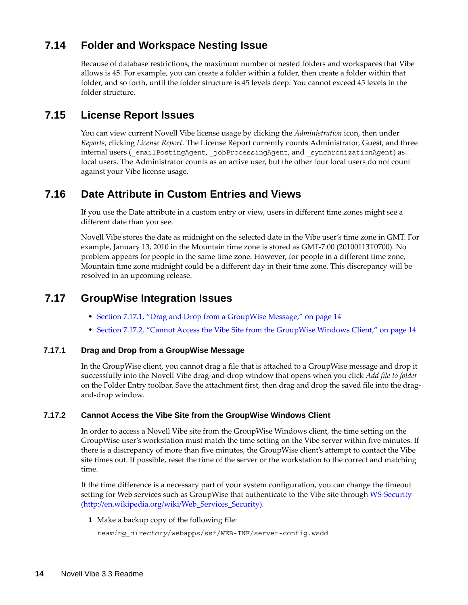## <span id="page-13-0"></span>**7.14 Folder and Workspace Nesting Issue**

Because of database restrictions, the maximum number of nested folders and workspaces that Vibe allows is 45. For example, you can create a folder within a folder, then create a folder within that folder, and so forth, until the folder structure is 45 levels deep. You cannot exceed 45 levels in the folder structure.

### <span id="page-13-2"></span>**7.15 License Report Issues**

You can view current Novell Vibe license usage by clicking the *Administration* icon, then under *Reports*, clicking *License Report*. The License Report currently counts Administrator, Guest, and three internal users (emailPostingAgent, jobProcessingAgent, and synchronizationAgent) as local users. The Administrator counts as an active user, but the other four local users do not count against your Vibe license usage.

### <span id="page-13-1"></span>**7.16 Date Attribute in Custom Entries and Views**

If you use the Date attribute in a custom entry or view, users in different time zones might see a different date than you see.

Novell Vibe stores the date as midnight on the selected date in the Vibe user's time zone in GMT. For example, January 13, 2010 in the Mountain time zone is stored as GMT-7:00 (20100113T0700). No problem appears for people in the same time zone. However, for people in a different time zone, Mountain time zone midnight could be a different day in their time zone. This discrepancy will be resolved in an upcoming release.

#### <span id="page-13-3"></span>**7.17 GroupWise Integration Issues**

- [Section 7.17.1, "Drag and Drop from a GroupWise Message," on page 14](#page-13-4)
- [Section 7.17.2, "Cannot Access the Vibe Site from the GroupWise Windows Client," on page 14](#page-13-5)

#### <span id="page-13-4"></span>**7.17.1 Drag and Drop from a GroupWise Message**

In the GroupWise client, you cannot drag a file that is attached to a GroupWise message and drop it successfully into the Novell Vibe drag-and-drop window that opens when you click *Add file to folder* on the Folder Entry toolbar. Save the attachment first, then drag and drop the saved file into the dragand-drop window.

#### <span id="page-13-5"></span>**7.17.2 Cannot Access the Vibe Site from the GroupWise Windows Client**

In order to access a Novell Vibe site from the GroupWise Windows client, the time setting on the GroupWise user's workstation must match the time setting on the Vibe server within five minutes. If there is a discrepancy of more than five minutes, the GroupWise client's attempt to contact the Vibe site times out. If possible, reset the time of the server or the workstation to the correct and matching time.

If the time difference is a necessary part of your system configuration, you can change the timeout setting for Web services such as GroupWise that authenticate to the Vibe site through [WS-Security](http://en.wikipedia.org/wiki/Web_Services_Security)  (http://en.wikipedia.org/wiki/Web\_Services\_Security).

**1** Make a backup copy of the following file:

```
teaming_directory/webapps/ssf/WEB-INF/server-config.wsdd
```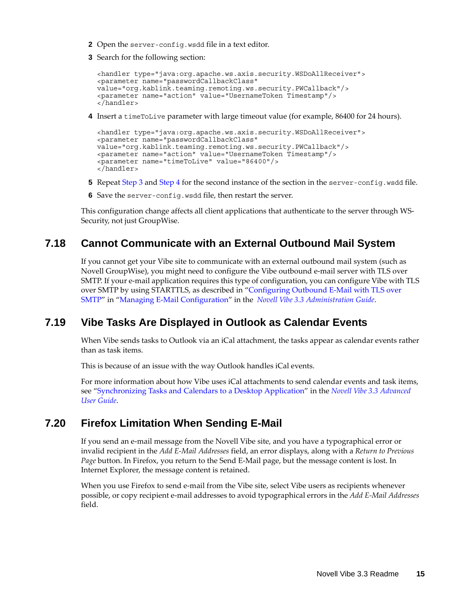- **2** Open the server-config.wsdd file in a text editor.
- <span id="page-14-3"></span>**3** Search for the following section:

```
<handler type="java:org.apache.ws.axis.security.WSDoAllReceiver">
<parameter name="passwordCallbackClass"
value="org.kablink.teaming.remoting.ws.security.PWCallback"/>
<parameter name="action" value="UsernameToken Timestamp"/>
</handler>
```
<span id="page-14-4"></span>**4** Insert a timeToLive parameter with large timeout value (for example, 86400 for 24 hours).

```
<handler type="java:org.apache.ws.axis.security.WSDoAllReceiver">
<parameter name="passwordCallbackClass"
value="org.kablink.teaming.remoting.ws.security.PWCallback"/>
<parameter name="action" value="UsernameToken Timestamp"/>
<parameter name="timeToLive" value="86400"/>
</handler>
```
- **5** Repeat [Step 3](#page-14-3) and [Step 4](#page-14-4) for the second instance of the section in the server-config.wsdd file.
- **6** Save the server-config.wsdd file, then restart the server.

This configuration change affects all client applications that authenticate to the server through WS-Security, not just GroupWise.

### <span id="page-14-0"></span>**7.18 Cannot Communicate with an External Outbound Mail System**

If you cannot get your Vibe site to communicate with an external outbound mail system (such as Novell GroupWise), you might need to configure the Vibe outbound e-mail server with TLS over SMTP. If your e-mail application requires this type of configuration, you can configure Vibe with TLS over SMTP by using STARTTLS, as described in "Configuring Outbound E-Mail with TLS over SMTP" in "Managing E-Mail Configuration" in the *Novell Vibe 3.3 Administration Guide*.

### <span id="page-14-1"></span>**7.19 Vibe Tasks Are Displayed in Outlook as Calendar Events**

When Vibe sends tasks to Outlook via an iCal attachment, the tasks appear as calendar events rather than as task items.

This is because of an issue with the way Outlook handles iCal events.

For more information about how Vibe uses iCal attachments to send calendar events and task items, see "Synchronizing Tasks and Calendars to a Desktop Application" in the *Novell Vibe 3.3 Advanced User Guide*.

#### <span id="page-14-2"></span>**7.20 Firefox Limitation When Sending E-Mail**

If you send an e-mail message from the Novell Vibe site, and you have a typographical error or invalid recipient in the *Add E-Mail Addresses* field, an error displays, along with a *Return to Previous Page* button. In Firefox, you return to the Send E-Mail page, but the message content is lost. In Internet Explorer, the message content is retained.

When you use Firefox to send e-mail from the Vibe site, select Vibe users as recipients whenever possible, or copy recipient e-mail addresses to avoid typographical errors in the *Add E-Mail Addresses* field.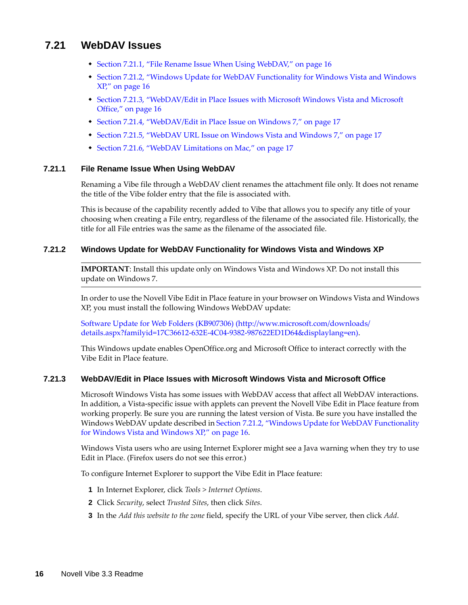#### <span id="page-15-0"></span>**7.21 WebDAV Issues**

- [Section 7.21.1, "File Rename Issue When Using WebDAV," on page 16](#page-15-3)
- [Section 7.21.2, "Windows Update for WebDAV Functionality for Windows Vista and Windows](#page-15-1)  [XP," on page 16](#page-15-1)
- [Section 7.21.3, "WebDAV/Edit in Place Issues with Microsoft Windows Vista and Microsoft](#page-15-2)  [Office," on page 16](#page-15-2)
- [Section 7.21.4, "WebDAV/Edit in Place Issue on Windows 7," on page 17](#page-16-0)
- [Section 7.21.5, "WebDAV URL Issue on Windows Vista and Windows 7," on page 17](#page-16-1)
- [Section 7.21.6, "WebDAV Limitations on Mac," on page 17](#page-16-2)

#### <span id="page-15-3"></span>**7.21.1 File Rename Issue When Using WebDAV**

Renaming a Vibe file through a WebDAV client renames the attachment file only. It does not rename the title of the Vibe folder entry that the file is associated with.

This is because of the capability recently added to Vibe that allows you to specify any title of your choosing when creating a File entry, regardless of the filename of the associated file. Historically, the title for all File entries was the same as the filename of the associated file.

#### <span id="page-15-1"></span>**7.21.2 Windows Update for WebDAV Functionality for Windows Vista and Windows XP**

**IMPORTANT**: Install this update only on Windows Vista and Windows XP. Do not install this update on Windows 7.

In order to use the Novell Vibe Edit in Place feature in your browser on Windows Vista and Windows XP, you must install the following Windows WebDAV update:

[Software Update for Web Folders \(KB907306\)](http://www.microsoft.com/downloads/details.aspx?familyid=17C36612-632E-4C04-9382-987622ED1D64&displaylang=en) (http://www.microsoft.com/downloads/ details.aspx?familyid=17C36612-632E-4C04-9382-987622ED1D64&displaylang=en).

This Windows update enables OpenOffice.org and Microsoft Office to interact correctly with the Vibe Edit in Place feature.

#### <span id="page-15-2"></span>**7.21.3 WebDAV/Edit in Place Issues with Microsoft Windows Vista and Microsoft Office**

Microsoft Windows Vista has some issues with WebDAV access that affect all WebDAV interactions. In addition, a Vista-specific issue with applets can prevent the Novell Vibe Edit in Place feature from working properly. Be sure you are running the latest version of Vista. Be sure you have installed the Windows WebDAV update described in [Section 7.21.2, "Windows Update for WebDAV Functionality](#page-15-1)  [for Windows Vista and Windows XP," on page 16.](#page-15-1)

Windows Vista users who are using Internet Explorer might see a Java warning when they try to use Edit in Place. (Firefox users do not see this error.)

To configure Internet Explorer to support the Vibe Edit in Place feature:

- **1** In Internet Explorer, click *Tools > Internet Options*.
- **2** Click *Security*, select *Trusted Sites*, then click *Sites*.
- **3** In the *Add this website to the zone* field, specify the URL of your Vibe server, then click *Add*.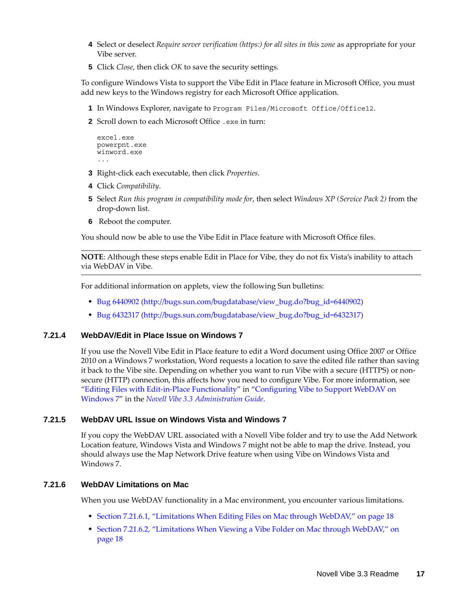- **4** Select or deselect *Require server verification (https:) for all sites in this zone* as appropriate for your Vibe server.
- **5** Click *Close*, then click *OK* to save the security settings.

To configure Windows Vista to support the Vibe Edit in Place feature in Microsoft Office, you must add new keys to the Windows registry for each Microsoft Office application.

- **1** In Windows Explorer, navigate to Program Files/Microsoft Office/Office12.
- **2** Scroll down to each Microsoft Office .exe in turn:

```
excel.exe
powerpnt.exe
winword.exe
...
```
- **3** Right-click each executable, then click *Properties*.
- **4** Click *Compatibility*.
- **5** Select *Run this program in compatibility mode for*, then select *Windows XP (Service Pack 2)* from the drop-down list.
- **6** Reboot the computer.

You should now be able to use the Vibe Edit in Place feature with Microsoft Office files.

**NOTE**: Although these steps enable Edit in Place for Vibe, they do not fix Vista's inability to attach via WebDAV in Vibe.

For additional information on applets, view the following Sun bulletins:

- [Bug 6440902](http://bugs.sun.com/bugdatabase/view_bug.do?bug_id=6440902) (http://bugs.sun.com/bugdatabase/view\_bug.do?bug\_id=6440902)
- [Bug 6432317](http://bugs.sun.com/bugdatabase/view_bug.do?bug_id=6432317) (http://bugs.sun.com/bugdatabase/view\_bug.do?bug\_id=6432317)

#### <span id="page-16-0"></span>**7.21.4 WebDAV/Edit in Place Issue on Windows 7**

If you use the Novell Vibe Edit in Place feature to edit a Word document using Office 2007 or Office 2010 on a Windows 7 workstation, Word requests a location to save the edited file rather than saving it back to the Vibe site. Depending on whether you want to run Vibe with a secure (HTTPS) or nonsecure (HTTP) connection, this affects how you need to configure Vibe. For more information, see "Editing Files with Edit-in-Place Functionality" in "Configuring Vibe to Support WebDAV on Windows 7" in the *Novell Vibe 3.3 Administration Guide*.

#### <span id="page-16-1"></span>**7.21.5 WebDAV URL Issue on Windows Vista and Windows 7**

If you copy the WebDAV URL associated with a Novell Vibe folder and try to use the Add Network Location feature, Windows Vista and Windows 7 might not be able to map the drive. Instead, you should always use the Map Network Drive feature when using Vibe on Windows Vista and Windows 7.

#### <span id="page-16-2"></span>**7.21.6 WebDAV Limitations on Mac**

When you use WebDAV functionality in a Mac environment, you encounter various limitations.

- [Section 7.21.6.1, "Limitations When Editing Files on Mac through WebDAV," on page 18](#page-17-2)
- [Section 7.21.6.2, "Limitations When Viewing a Vibe Folder on Mac through WebDAV," on](#page-17-3)  [page 18](#page-17-3)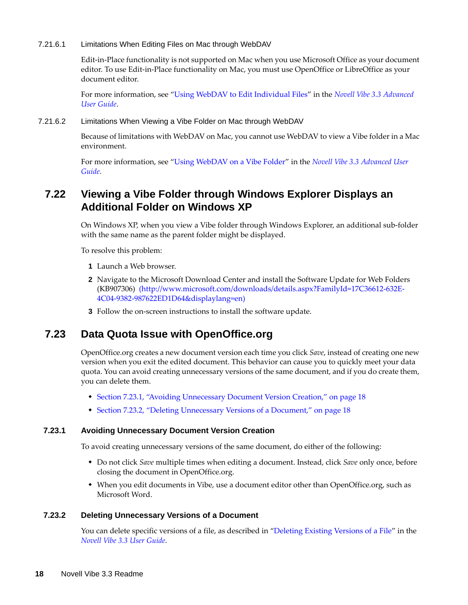<span id="page-17-2"></span>7.21.6.1 Limitations When Editing Files on Mac through WebDAV

Edit-in-Place functionality is not supported on Mac when you use Microsoft Office as your document editor. To use Edit-in-Place functionality on Mac, you must use OpenOffice or LibreOffice as your document editor.

For more information, see "Using WebDAV to Edit Individual Files" in the *Novell Vibe 3.3 Advanced User Guide*.

<span id="page-17-3"></span>7.21.6.2 Limitations When Viewing a Vibe Folder on Mac through WebDAV

Because of limitations with WebDAV on Mac, you cannot use WebDAV to view a Vibe folder in a Mac environment.

For more information, see "Using WebDAV on a Vibe Folder" in the *Novell Vibe 3.3 Advanced User Guide*.

## <span id="page-17-0"></span>**7.22 Viewing a Vibe Folder through Windows Explorer Displays an Additional Folder on Windows XP**

On Windows XP, when you view a Vibe folder through Windows Explorer, an additional sub-folder with the same name as the parent folder might be displayed.

To resolve this problem:

- **1** Launch a Web browser.
- **2** Navigate to the Microsoft Download Center and install the Software Update for Web Folders (KB907306) (http://www.microsoft.com/downloads/details.aspx?FamilyId=17C36612-632E-4C04-9382-987622ED1D64&displaylang=en)
- **3** Follow the on-screen instructions to install the software update.

#### <span id="page-17-1"></span>**7.23 Data Quota Issue with OpenOffice.org**

OpenOffice.org creates a new document version each time you click *Save*, instead of creating one new version when you exit the edited document. This behavior can cause you to quickly meet your data quota. You can avoid creating unnecessary versions of the same document, and if you do create them, you can delete them.

- [Section 7.23.1, "Avoiding Unnecessary Document Version Creation," on page 18](#page-17-4)
- [Section 7.23.2, "Deleting Unnecessary Versions of a Document," on page 18](#page-17-5)

#### <span id="page-17-4"></span>**7.23.1 Avoiding Unnecessary Document Version Creation**

To avoid creating unnecessary versions of the same document, do either of the following:

- Do not click *Save* multiple times when editing a document. Instead, click *Save* only once, before closing the document in OpenOffice.org.
- When you edit documents in Vibe, use a document editor other than OpenOffice.org, such as Microsoft Word.

#### <span id="page-17-5"></span>**7.23.2 Deleting Unnecessary Versions of a Document**

You can delete specific versions of a file, as described in "Deleting Existing Versions of a File" in the *Novell Vibe 3.3 User Guide*.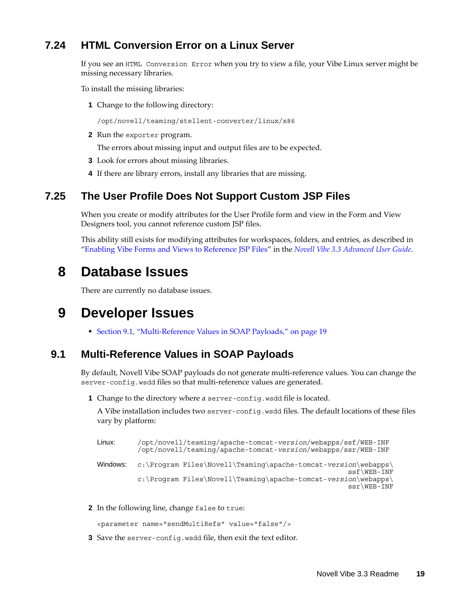## <span id="page-18-0"></span>**7.24 HTML Conversion Error on a Linux Server**

If you see an HTML Conversion Error when you try to view a file, your Vibe Linux server might be missing necessary libraries.

To install the missing libraries:

**1** Change to the following directory:

/opt/novell/teaming/stellent-converter/linux/x86

**2** Run the exporter program.

The errors about missing input and output files are to be expected.

- **3** Look for errors about missing libraries.
- **4** If there are library errors, install any libraries that are missing.

#### <span id="page-18-1"></span>**7.25 The User Profile Does Not Support Custom JSP Files**

When you create or modify attributes for the User Profile form and view in the Form and View Designers tool, you cannot reference custom JSP files.

This ability still exists for modifying attributes for workspaces, folders, and entries, as described in "Enabling Vibe Forms and Views to Reference JSP Files" in the *Novell Vibe 3.3 Advanced User Guide*.

## **8 Database Issues**

There are currently no database issues.

## **9 Developer Issues**

[Section 9.1, "Multi-Reference Values in SOAP Payloads," on page 19](#page-18-2)

#### <span id="page-18-2"></span>**9.1 Multi-Reference Values in SOAP Payloads**

By default, Novell Vibe SOAP payloads do not generate multi-reference values. You can change the server-config.wsdd files so that multi-reference values are generated.

**1** Change to the directory where a server-config.wsdd file is located.

A Vibe installation includes two server-config.wsdd files. The default locations of these files vary by platform:

```
Linux: /opt/novell/teaming/apache-tomcat-version/webapps/ssf/WEB-INF
         /opt/novell/teaming/apache-tomcat-version/webapps/ssr/WEB-INF
Windows: c:\Program Files\Novell\Teaming\apache-tomcat-version\webapps\
                                                            ssf\WEB-INF
         c:\Program Files\Novell\Teaming\apache-tomcat-version\webapps\
                                                            ssr\WEB-INF
```
**2** In the following line, change false to true:

<parameter name="sendMultiRefs" value="false"/>

**3** Save the server-config.wsdd file, then exit the text editor.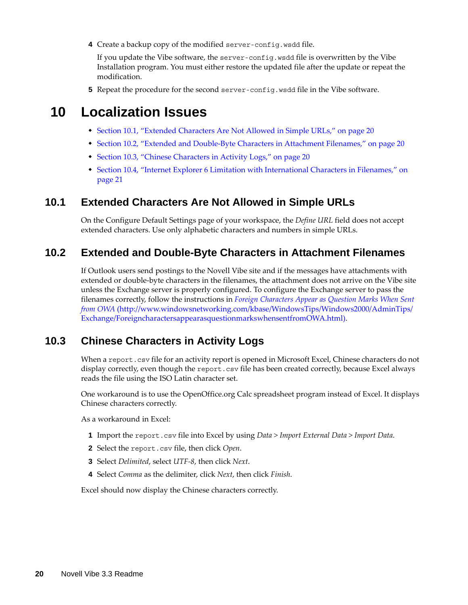**4** Create a backup copy of the modified server-config.wsdd file.

If you update the Vibe software, the server-config.wsdd file is overwritten by the Vibe Installation program. You must either restore the updated file after the update or repeat the modification.

**5** Repeat the procedure for the second server-config.wsdd file in the Vibe software.

## **10 Localization Issues**

- [Section 10.1, "Extended Characters Are Not Allowed in Simple URLs," on page 20](#page-19-0)
- [Section 10.2, "Extended and Double-Byte Characters in Attachment Filenames," on page 20](#page-19-1)
- [Section 10.3, "Chinese Characters in Activity Logs," on page 20](#page-19-2)
- [Section 10.4, "Internet Explorer 6 Limitation with International Characters in Filenames," on](#page-20-0)  [page 21](#page-20-0)

#### <span id="page-19-0"></span>**10.1 Extended Characters Are Not Allowed in Simple URLs**

On the Configure Default Settings page of your workspace, the *Define URL* field does not accept extended characters. Use only alphabetic characters and numbers in simple URLs.

#### <span id="page-19-1"></span>**10.2 Extended and Double-Byte Characters in Attachment Filenames**

If Outlook users send postings to the Novell Vibe site and if the messages have attachments with extended or double-byte characters in the filenames, the attachment does not arrive on the Vibe site unless the Exchange server is properly configured. To configure the Exchange server to pass the filenames correctly, follow the instructions in *[Foreign Characters Appear as Question Marks When Sent](http://www.windowsnetworking.com/kbase/WindowsTips/Windows2000/AdminTips/Exchange/ForeigncharactersappearasquestionmarkswhensentfromOWA.html)  [from OWA](http://www.windowsnetworking.com/kbase/WindowsTips/Windows2000/AdminTips/Exchange/ForeigncharactersappearasquestionmarkswhensentfromOWA.html)* (http://www.windowsnetworking.com/kbase/WindowsTips/Windows2000/AdminTips/ Exchange/ForeigncharactersappearasquestionmarkswhensentfromOWA.html).

#### <span id="page-19-2"></span>**10.3 Chinese Characters in Activity Logs**

When a report.csv file for an activity report is opened in Microsoft Excel, Chinese characters do not display correctly, even though the report.csv file has been created correctly, because Excel always reads the file using the ISO Latin character set.

One workaround is to use the OpenOffice.org Calc spreadsheet program instead of Excel. It displays Chinese characters correctly.

As a workaround in Excel:

- **1** Import the report.csv file into Excel by using *Data > Import External Data > Import Data*.
- **2** Select the report.csv file, then click *Open*.
- **3** Select *Delimited*, select *UTF-8*, then click *Next*.
- **4** Select *Comma* as the delimiter, click *Next*, then click *Finish*.

Excel should now display the Chinese characters correctly.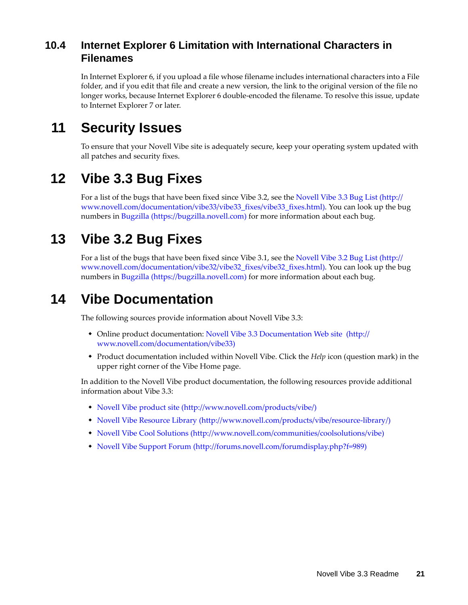## <span id="page-20-0"></span>**10.4 Internet Explorer 6 Limitation with International Characters in Filenames**

In Internet Explorer 6, if you upload a file whose filename includes international characters into a File folder, and if you edit that file and create a new version, the link to the original version of the file no longer works, because Internet Explorer 6 double-encoded the filename. To resolve this issue, update to Internet Explorer 7 or later.

# **11 Security Issues**

To ensure that your Novell Vibe site is adequately secure, keep your operating system updated with all patches and security fixes.

# **12 Vibe 3.3 Bug Fixes**

For a list of the bugs that have been fixed since Vibe 3.2, see the [Novell Vibe 3.3 Bug List](http://www.novell.com/documentation/vibe33/vibe33_fixes/vibe33_fixes.html) (http:// www.novell.com/documentation/vibe33/vibe33\_fixes/vibe33\_fixes.html). You can look up the bug numbers in [Bugzilla](https://bugzilla.novell.com) (https://bugzilla.novell.com) for more information about each bug.

# **13 Vibe 3.2 Bug Fixes**

For a list of the bugs that have been fixed since Vibe 3.1, see the [Novell Vibe 3.2 Bug List](http://www.novell.com/documentation/vibe32/vibe32_fixes/vibe32_fixes.html) (http:// www.novell.com/documentation/vibe32/vibe32\_fixes/vibe32\_fixes.html). You can look up the bug numbers in [Bugzilla](https://bugzilla.novell.com) (https://bugzilla.novell.com) for more information about each bug.

# **14 Vibe Documentation**

The following sources provide information about Novell Vibe 3.3:

- Online product documentation: [Novell Vibe 3.3 Documentation Web site](http://www.novell.com/documentation/vibe33) (http:// www.novell.com/documentation/vibe33)
- Product documentation included within Novell Vibe. Click the *Help* icon (question mark) in the upper right corner of the Vibe Home page.

In addition to the Novell Vibe product documentation, the following resources provide additional information about Vibe 3.3:

- [Novell Vibe product site](http://www.novell.com/products/vibe/) (http://www.novell.com/products/vibe/)
- [Novell Vibe Resource Library](http://www.novell.com/products/vibe/resource-library/) (http://www.novell.com/products/vibe/resource-library/)
- [Novell Vibe Cool Solutions](http://www.novell.com/communities/coolsolutions/vibe) (http://www.novell.com/communities/coolsolutions/vibe)
- [Novell Vibe Support Forum](http://forums.novell.com/forumdisplay.php?f=989) (http://forums.novell.com/forumdisplay.php?f=989)